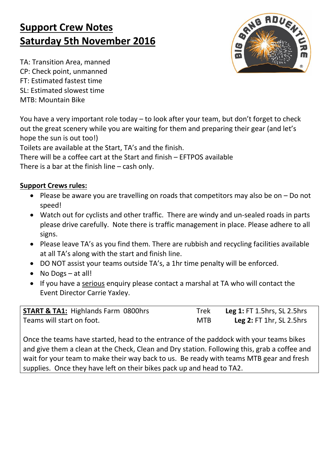## **Support Crew Notes Saturday 5th November 2016**

80t IB

TA: Transition Area, manned CP: Check point, unmanned FT: Estimated fastest time SL: Estimated slowest time MTB: Mountain Bike

You have a very important role today – to look after your team, but don't forget to check out the great scenery while you are waiting for them and preparing their gear (and let's hope the sun is out too!)

Toilets are available at the Start, TA's and the finish.

There will be a coffee cart at the Start and finish – EFTPOS available

There is a bar at the finish line – cash only.

## **Support Crews rules:**

- Please be aware you are travelling on roads that competitors may also be on  $-$  Do not speed!
- Watch out for cyclists and other traffic. There are windy and un-sealed roads in parts please drive carefully. Note there is traffic management in place. Please adhere to all signs.
- Please leave TA's as you find them. There are rubbish and recycling facilities available at all TA's along with the start and finish line.
- DO NOT assist your teams outside TA's, a 1hr time penalty will be enforced.
- No Dogs at all!
- If you have a serious enquiry please contact a marshal at TA who will contact the Event Director Carrie Yaxley.

| <b>START &amp; TA1: Highlands Farm 0800hrs</b> | Trek       | <b>Leg 1: FT 1.5hrs, SL 2.5hrs</b> |
|------------------------------------------------|------------|------------------------------------|
| Teams will start on foot.                      | <b>MTB</b> | <b>Leg 2: FT 1hr, SL 2.5hrs</b>    |

Once the teams have started, head to the entrance of the paddock with your teams bikes and give them a clean at the Check, Clean and Dry station. Following this, grab a coffee and wait for your team to make their way back to us. Be ready with teams MTB gear and fresh supplies. Once they have left on their bikes pack up and head to TA2.